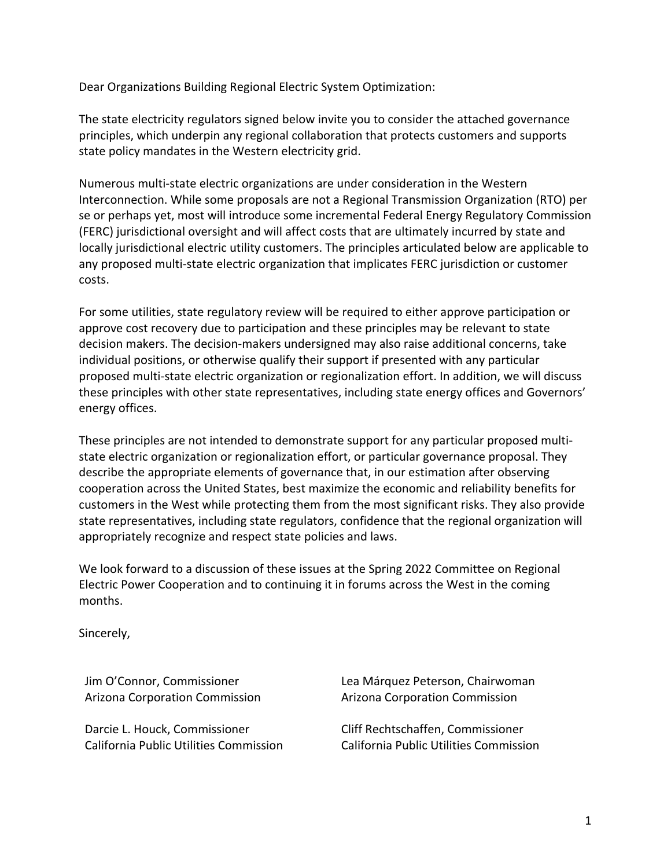Dear Organizations Building Regional Electric System Optimization:

The state electricity regulators signed below invite you to consider the attached governance principles, which underpin any regional collaboration that protects customers and supports state policy mandates in the Western electricity grid.

Numerous multi-state electric organizations are under consideration in the Western Interconnection. While some proposals are not a Regional Transmission Organization (RTO) per se or perhaps yet, most will introduce some incremental Federal Energy Regulatory Commission (FERC) jurisdictional oversight and will affect costs that are ultimately incurred by state and locally jurisdictional electric utility customers. The principles articulated below are applicable to any proposed multi-state electric organization that implicates FERC jurisdiction or customer costs.

For some utilities, state regulatory review will be required to either approve participation or approve cost recovery due to participation and these principles may be relevant to state decision makers. The decision-makers undersigned may also raise additional concerns, take individual positions, or otherwise qualify their support if presented with any particular proposed multi-state electric organization or regionalization effort. In addition, we will discuss these principles with other state representatives, including state energy offices and Governors' energy offices.

These principles are not intended to demonstrate support for any particular proposed multistate electric organization or regionalization effort, or particular governance proposal. They describe the appropriate elements of governance that, in our estimation after observing cooperation across the United States, best maximize the economic and reliability benefits for customers in the West while protecting them from the most significant risks. They also provide state representatives, including state regulators, confidence that the regional organization will appropriately recognize and respect state policies and laws.

We look forward to a discussion of these issues at the Spring 2022 Committee on Regional Electric Power Cooperation and to continuing it in forums across the West in the coming months.

Sincerely,

Jim O'Connor, Commissioner Arizona Corporation Commission

Darcie L. Houck, Commissioner California Public Utilities Commission Lea Márquez Peterson, Chairwoman Arizona Corporation Commission

Cliff Rechtschaffen, Commissioner California Public Utilities Commission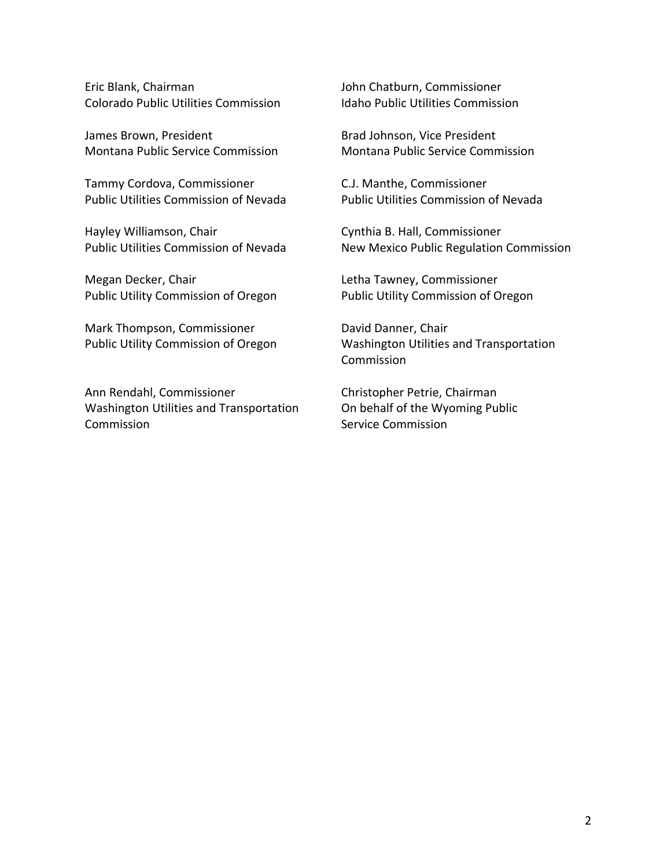Eric Blank, Chairman Colorado Public Utilities Commission

James Brown, President Montana Public Service Commission

Tammy Cordova, Commissioner Public Utilities Commission of Nevada

Hayley Williamson, Chair Public Utilities Commission of Nevada

Megan Decker, Chair Public Utility Commission of Oregon

Mark Thompson, Commissioner Public Utility Commission of Oregon

Ann Rendahl, Commissioner Washington Utilities and Transportation Commission

John Chatburn, Commissioner Idaho Public Utilities Commission

Brad Johnson, Vice President Montana Public Service Commission

C.J. Manthe, Commissioner Public Utilities Commission of Nevada

Cynthia B. Hall, Commissioner New Mexico Public Regulation Commission

Letha Tawney, Commissioner Public Utility Commission of Oregon

David Danner, Chair Washington Utilities and Transportation Commission

Christopher Petrie, Chairman On behalf of the Wyoming Public Service Commission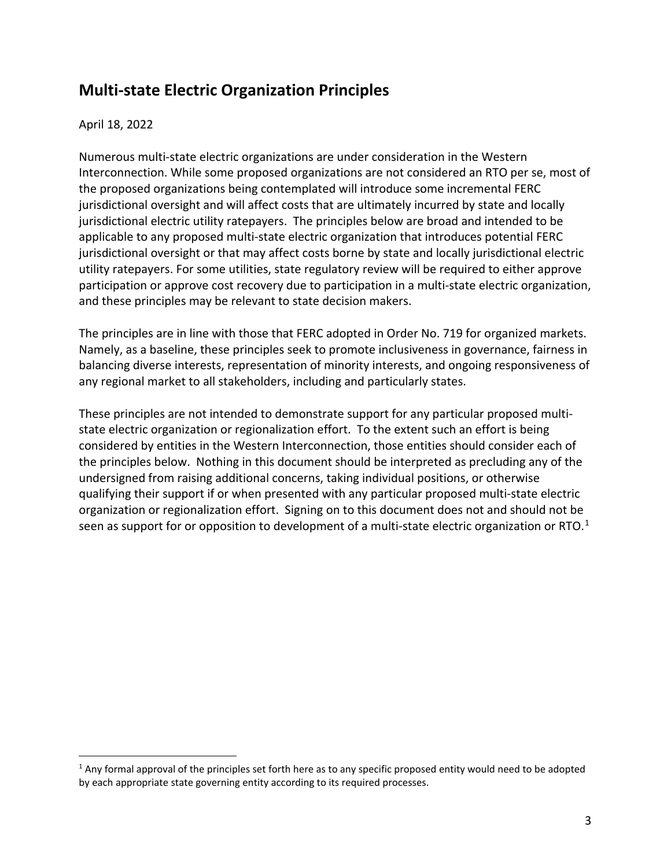## **Multi-state Electric Organization Principles**

## April 18, 2022

Numerous multi-state electric organizations are under consideration in the Western Interconnection. While some proposed organizations are not considered an RTO per se, most of the proposed organizations being contemplated will introduce some incremental FERC jurisdictional oversight and will affect costs that are ultimately incurred by state and locally jurisdictional electric utility ratepayers. The principles below are broad and intended to be applicable to any proposed multi-state electric organization that introduces potential FERC jurisdictional oversight or that may affect costs borne by state and locally jurisdictional electric utility ratepayers. For some utilities, state regulatory review will be required to either approve participation or approve cost recovery due to participation in a multi-state electric organization, and these principles may be relevant to state decision makers.

The principles are in line with those that FERC adopted in Order No. 719 for organized markets. Namely, as a baseline, these principles seek to promote inclusiveness in governance, fairness in balancing diverse interests, representation of minority interests, and ongoing responsiveness of any regional market to all stakeholders, including and particularly states.

These principles are not intended to demonstrate support for any particular proposed multistate electric organization or regionalization effort. To the extent such an effort is being considered by entities in the Western Interconnection, those entities should consider each of the principles below. Nothing in this document should be interpreted as precluding any of the undersigned from raising additional concerns, taking individual positions, or otherwise qualifying their support if or when presented with any particular proposed multi-state electric organization or regionalization effort. Signing on to this document does not and should not be seen as support for or opposition to development of a multi-state electric organization or RTO.<sup>[1](#page-2-0)</sup>

<span id="page-2-0"></span> $1$  Any formal approval of the principles set forth here as to any specific proposed entity would need to be adopted by each appropriate state governing entity according to its required processes.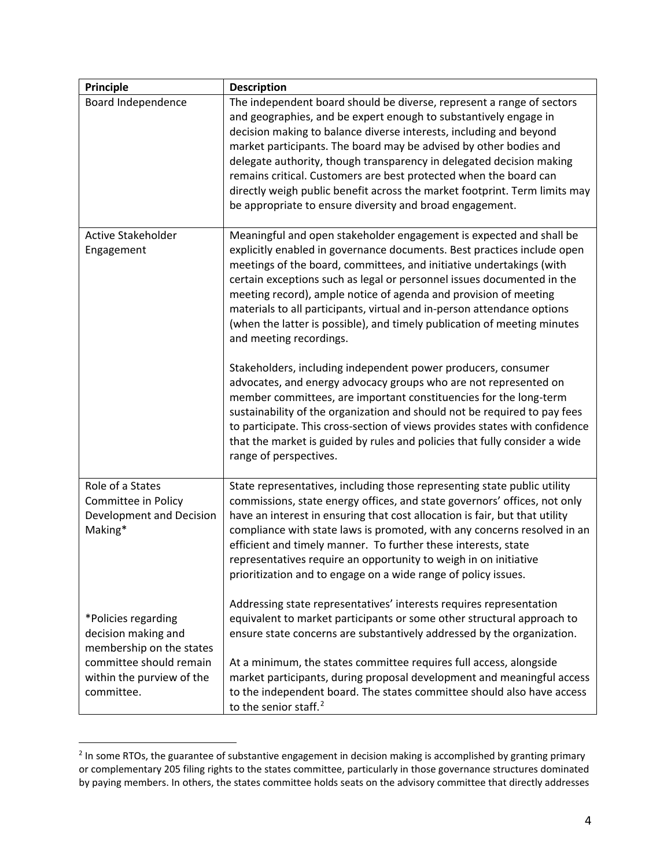| <b>Principle</b>                                                                                                                             | <b>Description</b>                                                                                                                                                                                                                                                                                                                                                                                                                                                                                                                                                                                                                                                                                                                                                                                                                                                                                                                                                                                                                   |
|----------------------------------------------------------------------------------------------------------------------------------------------|--------------------------------------------------------------------------------------------------------------------------------------------------------------------------------------------------------------------------------------------------------------------------------------------------------------------------------------------------------------------------------------------------------------------------------------------------------------------------------------------------------------------------------------------------------------------------------------------------------------------------------------------------------------------------------------------------------------------------------------------------------------------------------------------------------------------------------------------------------------------------------------------------------------------------------------------------------------------------------------------------------------------------------------|
| Board Independence                                                                                                                           | The independent board should be diverse, represent a range of sectors<br>and geographies, and be expert enough to substantively engage in<br>decision making to balance diverse interests, including and beyond<br>market participants. The board may be advised by other bodies and<br>delegate authority, though transparency in delegated decision making<br>remains critical. Customers are best protected when the board can<br>directly weigh public benefit across the market footprint. Term limits may<br>be appropriate to ensure diversity and broad engagement.                                                                                                                                                                                                                                                                                                                                                                                                                                                          |
| Active Stakeholder<br>Engagement                                                                                                             | Meaningful and open stakeholder engagement is expected and shall be<br>explicitly enabled in governance documents. Best practices include open<br>meetings of the board, committees, and initiative undertakings (with<br>certain exceptions such as legal or personnel issues documented in the<br>meeting record), ample notice of agenda and provision of meeting<br>materials to all participants, virtual and in-person attendance options<br>(when the latter is possible), and timely publication of meeting minutes<br>and meeting recordings.<br>Stakeholders, including independent power producers, consumer<br>advocates, and energy advocacy groups who are not represented on<br>member committees, are important constituencies for the long-term<br>sustainability of the organization and should not be required to pay fees<br>to participate. This cross-section of views provides states with confidence<br>that the market is guided by rules and policies that fully consider a wide<br>range of perspectives. |
| Role of a States<br>Committee in Policy<br>Development and Decision<br>Making*                                                               | State representatives, including those representing state public utility<br>commissions, state energy offices, and state governors' offices, not only<br>have an interest in ensuring that cost allocation is fair, but that utility<br>compliance with state laws is promoted, with any concerns resolved in an<br>efficient and timely manner. To further these interests, state<br>representatives require an opportunity to weigh in on initiative<br>prioritization and to engage on a wide range of policy issues.                                                                                                                                                                                                                                                                                                                                                                                                                                                                                                             |
| *Policies regarding<br>decision making and<br>membership on the states<br>committee should remain<br>within the purview of the<br>committee. | Addressing state representatives' interests requires representation<br>equivalent to market participants or some other structural approach to<br>ensure state concerns are substantively addressed by the organization.<br>At a minimum, the states committee requires full access, alongside<br>market participants, during proposal development and meaningful access<br>to the independent board. The states committee should also have access<br>to the senior staff. <sup>2</sup>                                                                                                                                                                                                                                                                                                                                                                                                                                                                                                                                               |

<span id="page-3-0"></span><sup>&</sup>lt;sup>2</sup> In some RTOs, the guarantee of substantive engagement in decision making is accomplished by granting primary or complementary 205 filing rights to the states committee, particularly in those governance structures dominated by paying members. In others, the states committee holds seats on the advisory committee that directly addresses